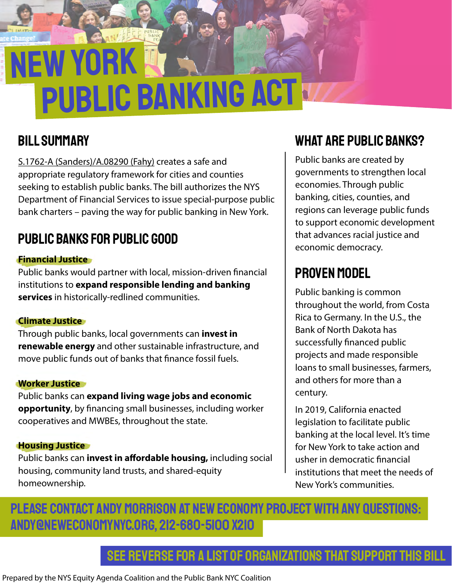# new york PUBLIC BANKING ACT

## bill summary

S.1762-A (Sanders)/A.08290 (Fahy) creates a safe and appropriate regulatory framework for cities and counties seeking to establish public banks. The bill authorizes the NYS Department of Financial Services to issue special-purpose public bank charters – paving the way for public banking in New York.

## public banks for public good

#### **Financial Justice**

Public banks would partner with local, mission-driven financial institutions to **expand responsible lending and banking services** in historically-redlined communities.

#### **Climate Justice**

Through public banks, local governments can **invest in renewable energy** and other sustainable infrastructure, and move public funds out of banks that finance fossil fuels.

#### **Worker Justice**

Public banks can **expand living wage jobs and economic opportunity**, by financing small businesses, including worker cooperatives and MWBEs, throughout the state.

#### **Housing Justice**

Public banks can **invest in affordable housing,** including social housing, community land trusts, and shared-equity homeownership.

## what are public banks?

Public banks are created by governments to strengthen local economies. Through public banking, cities, counties, and regions can leverage public funds to support economic development that advances racial justice and economic democracy.

## proven model

Public banking is common throughout the world, from Costa Rica to Germany. In the U.S., the Bank of North Dakota has successfully financed public projects and made responsible loans to small businesses, farmers, and others for more than a century.

In 2019, California enacted legislation to facilitate public banking at the local level. It's time for New York to take action and usher in democratic financial institutions that meet the needs of New York's communities.

### Please contact Andy Morrison at New Economy Project with any questions: andy@neweconomynyc.org, 212-680-5100 x210

see reverse for a list of organizations that support this bill

Prepared by the NYS Equity Agenda Coalition and the Public Bank NYC Coalition